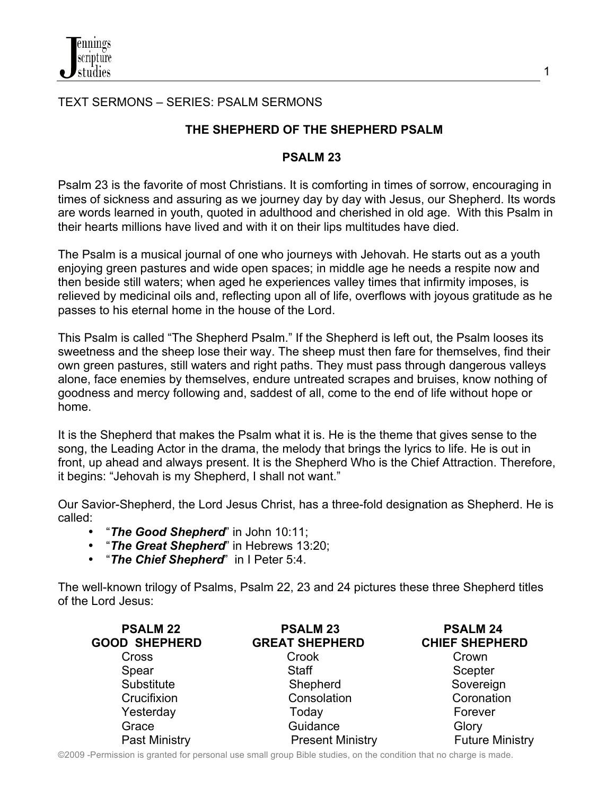# TEXT SERMONS – SERIES: PSALM SERMONS

# **THE SHEPHERD OF THE SHEPHERD PSALM**

#### **PSALM 23**

Psalm 23 is the favorite of most Christians. It is comforting in times of sorrow, encouraging in times of sickness and assuring as we journey day by day with Jesus, our Shepherd. Its words are words learned in youth, quoted in adulthood and cherished in old age. With this Psalm in their hearts millions have lived and with it on their lips multitudes have died.

The Psalm is a musical journal of one who journeys with Jehovah. He starts out as a youth enjoying green pastures and wide open spaces; in middle age he needs a respite now and then beside still waters; when aged he experiences valley times that infirmity imposes, is relieved by medicinal oils and, reflecting upon all of life, overflows with joyous gratitude as he passes to his eternal home in the house of the Lord.

This Psalm is called "The Shepherd Psalm." If the Shepherd is left out, the Psalm looses its sweetness and the sheep lose their way. The sheep must then fare for themselves, find their own green pastures, still waters and right paths. They must pass through dangerous valleys alone, face enemies by themselves, endure untreated scrapes and bruises, know nothing of goodness and mercy following and, saddest of all, come to the end of life without hope or home.

It is the Shepherd that makes the Psalm what it is. He is the theme that gives sense to the song, the Leading Actor in the drama, the melody that brings the lyrics to life. He is out in front, up ahead and always present. It is the Shepherd Who is the Chief Attraction. Therefore, it begins: "Jehovah is my Shepherd, I shall not want."

Our Savior-Shepherd, the Lord Jesus Christ, has a three-fold designation as Shepherd. He is called:

- "*The Good Shepherd*" in John 10:11;
- "*The Great Shepherd*" in Hebrews 13:20;
- "*The Chief Shepherd*" in I Peter 5:4.

The well-known trilogy of Psalms, Psalm 22, 23 and 24 pictures these three Shepherd titles of the Lord Jesus:

| <b>PSALM 22</b><br><b>GOOD SHEPHERD</b> | <b>PSALM 23</b><br><b>GREAT SHEPHERD</b> | <b>PSALM 24</b><br><b>CHIEF SHEPHERD</b> |
|-----------------------------------------|------------------------------------------|------------------------------------------|
| Cross                                   | Crook                                    | Crown                                    |
| Spear                                   | <b>Staff</b>                             | Scepter                                  |
| Substitute                              | Shepherd                                 | Sovereign                                |
| Crucifixion                             | Consolation                              | Coronation                               |
| Yesterday                               | Today                                    | Forever                                  |
| Grace                                   | Guidance                                 | Glory                                    |
| Past Ministry                           | <b>Present Ministry</b>                  | <b>Future Ministry</b>                   |

©2009 -Permission is granted for personal use small group Bible studies, on the condition that no charge is made.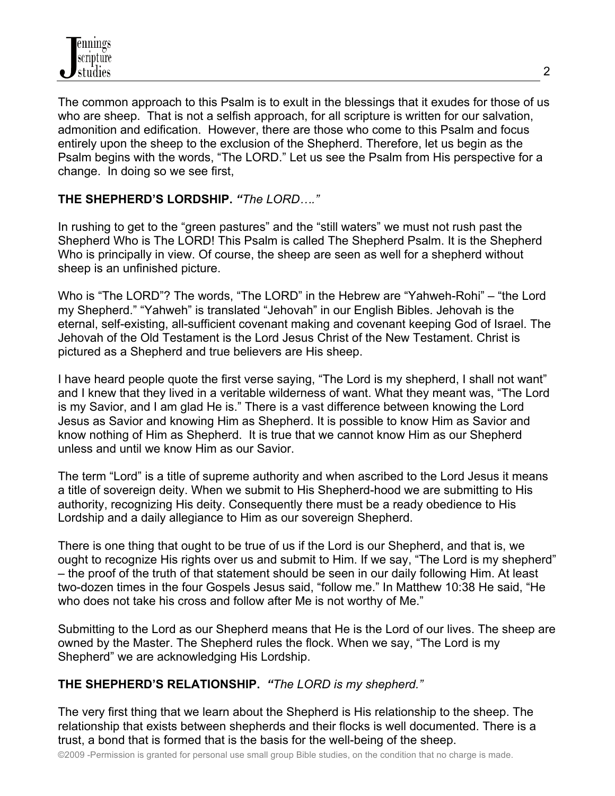

The common approach to this Psalm is to exult in the blessings that it exudes for those of us who are sheep. That is not a selfish approach, for all scripture is written for our salvation, admonition and edification. However, there are those who come to this Psalm and focus entirely upon the sheep to the exclusion of the Shepherd. Therefore, let us begin as the Psalm begins with the words, "The LORD." Let us see the Psalm from His perspective for a change. In doing so we see first,

## **THE SHEPHERD'S LORDSHIP.** *"The LORD…."*

In rushing to get to the "green pastures" and the "still waters" we must not rush past the Shepherd Who is The LORD! This Psalm is called The Shepherd Psalm. It is the Shepherd Who is principally in view. Of course, the sheep are seen as well for a shepherd without sheep is an unfinished picture.

Who is "The LORD"? The words, "The LORD" in the Hebrew are "Yahweh-Rohi" – "the Lord my Shepherd." "Yahweh" is translated "Jehovah" in our English Bibles. Jehovah is the eternal, self-existing, all-sufficient covenant making and covenant keeping God of Israel. The Jehovah of the Old Testament is the Lord Jesus Christ of the New Testament. Christ is pictured as a Shepherd and true believers are His sheep.

I have heard people quote the first verse saying, "The Lord is my shepherd, I shall not want" and I knew that they lived in a veritable wilderness of want. What they meant was, "The Lord is my Savior, and I am glad He is." There is a vast difference between knowing the Lord Jesus as Savior and knowing Him as Shepherd. It is possible to know Him as Savior and know nothing of Him as Shepherd. It is true that we cannot know Him as our Shepherd unless and until we know Him as our Savior.

The term "Lord" is a title of supreme authority and when ascribed to the Lord Jesus it means a title of sovereign deity. When we submit to His Shepherd-hood we are submitting to His authority, recognizing His deity. Consequently there must be a ready obedience to His Lordship and a daily allegiance to Him as our sovereign Shepherd.

There is one thing that ought to be true of us if the Lord is our Shepherd, and that is, we ought to recognize His rights over us and submit to Him. If we say, "The Lord is my shepherd" – the proof of the truth of that statement should be seen in our daily following Him. At least two-dozen times in the four Gospels Jesus said, "follow me." In Matthew 10:38 He said, "He who does not take his cross and follow after Me is not worthy of Me."

Submitting to the Lord as our Shepherd means that He is the Lord of our lives. The sheep are owned by the Master. The Shepherd rules the flock. When we say, "The Lord is my Shepherd" we are acknowledging His Lordship.

#### **THE SHEPHERD'S RELATIONSHIP.** *"The LORD is my shepherd."*

The very first thing that we learn about the Shepherd is His relationship to the sheep. The relationship that exists between shepherds and their flocks is well documented. There is a trust, a bond that is formed that is the basis for the well-being of the sheep.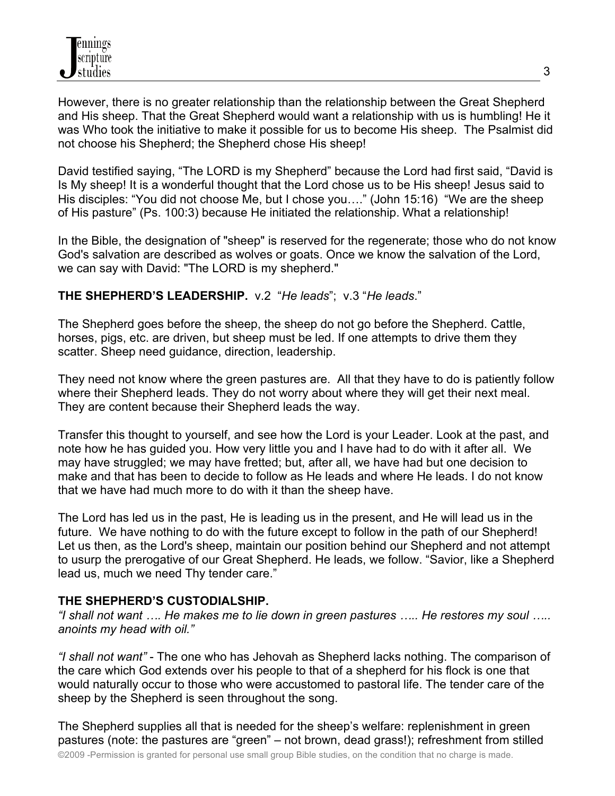However, there is no greater relationship than the relationship between the Great Shepherd and His sheep. That the Great Shepherd would want a relationship with us is humbling! He it was Who took the initiative to make it possible for us to become His sheep. The Psalmist did not choose his Shepherd; the Shepherd chose His sheep!

David testified saying, "The LORD is my Shepherd" because the Lord had first said, "David is Is My sheep! It is a wonderful thought that the Lord chose us to be His sheep! Jesus said to His disciples: "You did not choose Me, but I chose you…." (John 15:16) "We are the sheep of His pasture" (Ps. 100:3) because He initiated the relationship. What a relationship!

In the Bible, the designation of "sheep" is reserved for the regenerate; those who do not know God's salvation are described as wolves or goats. Once we know the salvation of the Lord, we can say with David: "The LORD is my shepherd."

## **THE SHEPHERD'S LEADERSHIP.** v.2 "*He leads*"; v.3 "*He leads*."

The Shepherd goes before the sheep, the sheep do not go before the Shepherd. Cattle, horses, pigs, etc. are driven, but sheep must be led. If one attempts to drive them they scatter. Sheep need guidance, direction, leadership.

They need not know where the green pastures are. All that they have to do is patiently follow where their Shepherd leads. They do not worry about where they will get their next meal. They are content because their Shepherd leads the way.

Transfer this thought to yourself, and see how the Lord is your Leader. Look at the past, and note how he has guided you. How very little you and I have had to do with it after all. We may have struggled; we may have fretted; but, after all, we have had but one decision to make and that has been to decide to follow as He leads and where He leads. I do not know that we have had much more to do with it than the sheep have.

The Lord has led us in the past, He is leading us in the present, and He will lead us in the future. We have nothing to do with the future except to follow in the path of our Shepherd! Let us then, as the Lord's sheep, maintain our position behind our Shepherd and not attempt to usurp the prerogative of our Great Shepherd. He leads, we follow. "Savior, like a Shepherd lead us, much we need Thy tender care."

#### **THE SHEPHERD'S CUSTODIALSHIP.**

*"I shall not want …. He makes me to lie down in green pastures ….. He restores my soul ….. anoints my head with oil."*

*"I shall not want"* - The one who has Jehovah as Shepherd lacks nothing. The comparison of the care which God extends over his people to that of a shepherd for his flock is one that would naturally occur to those who were accustomed to pastoral life. The tender care of the sheep by the Shepherd is seen throughout the song.

The Shepherd supplies all that is needed for the sheep's welfare: replenishment in green pastures (note: the pastures are "green" – not brown, dead grass!); refreshment from stilled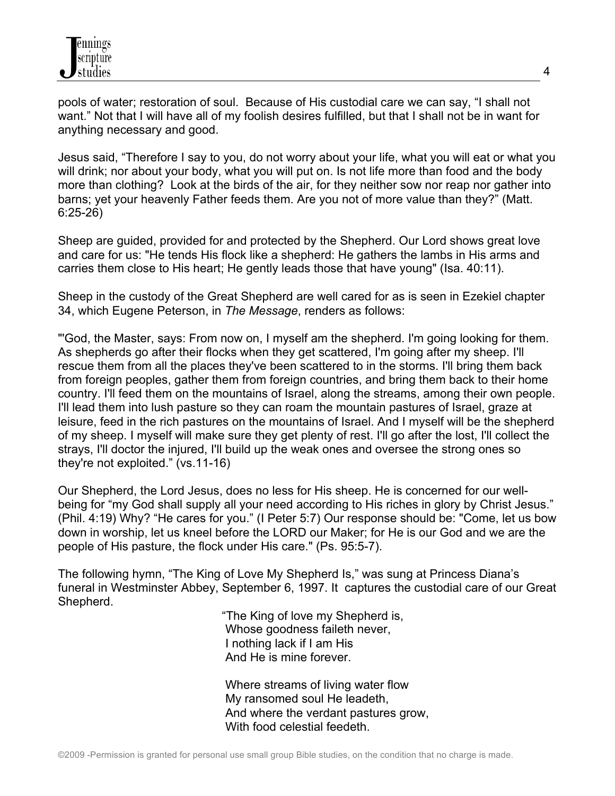pools of water; restoration of soul. Because of His custodial care we can say, "I shall not want." Not that I will have all of my foolish desires fulfilled, but that I shall not be in want for anything necessary and good.

Jesus said, "Therefore I say to you, do not worry about your life, what you will eat or what you will drink; nor about your body, what you will put on. Is not life more than food and the body more than clothing? Look at the birds of the air, for they neither sow nor reap nor gather into barns; yet your heavenly Father feeds them. Are you not of more value than they?" (Matt. 6:25-26)

Sheep are guided, provided for and protected by the Shepherd. Our Lord shows great love and care for us: "He tends His flock like a shepherd: He gathers the lambs in His arms and carries them close to His heart; He gently leads those that have young" (Isa. 40:11).

Sheep in the custody of the Great Shepherd are well cared for as is seen in Ezekiel chapter 34, which Eugene Peterson, in *The Message*, renders as follows:

"'God, the Master, says: From now on, I myself am the shepherd. I'm going looking for them. As shepherds go after their flocks when they get scattered, I'm going after my sheep. I'll rescue them from all the places they've been scattered to in the storms. I'll bring them back from foreign peoples, gather them from foreign countries, and bring them back to their home country. I'll feed them on the mountains of Israel, along the streams, among their own people. I'll lead them into lush pasture so they can roam the mountain pastures of Israel, graze at leisure, feed in the rich pastures on the mountains of Israel. And I myself will be the shepherd of my sheep. I myself will make sure they get plenty of rest. I'll go after the lost, I'll collect the strays, I'll doctor the injured, I'll build up the weak ones and oversee the strong ones so they're not exploited." (vs.11-16)

Our Shepherd, the Lord Jesus, does no less for His sheep. He is concerned for our wellbeing for "my God shall supply all your need according to His riches in glory by Christ Jesus." (Phil. 4:19) Why? "He cares for you." (I Peter 5:7) Our response should be: "Come, let us bow down in worship, let us kneel before the LORD our Maker; for He is our God and we are the people of His pasture, the flock under His care." (Ps. 95:5-7).

The following hymn, "The King of Love My Shepherd Is," was sung at Princess Diana's funeral in Westminster Abbey, September 6, 1997. It captures the custodial care of our Great Shepherd.

 "The King of love my Shepherd is, Whose goodness faileth never, I nothing lack if I am His And He is mine forever.

 Where streams of living water flow My ransomed soul He leadeth, And where the verdant pastures grow, With food celestial feedeth.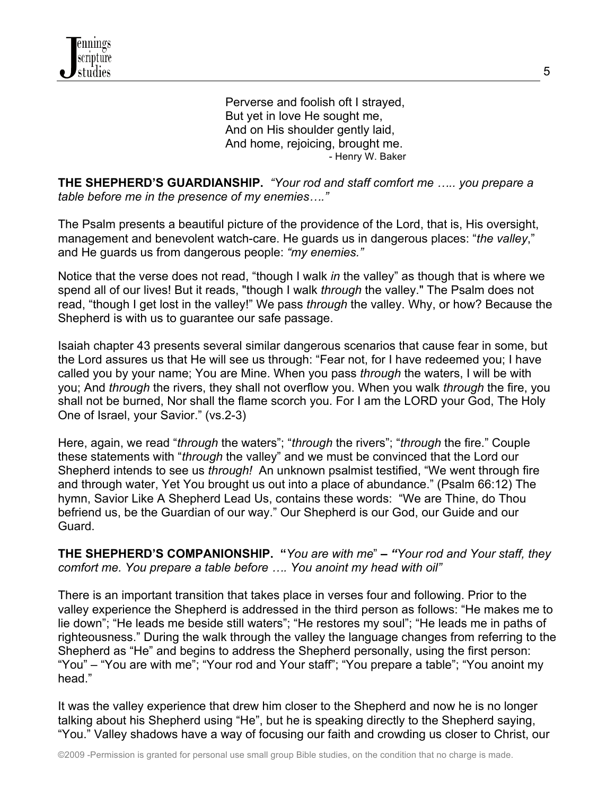Perverse and foolish oft I strayed, But yet in love He sought me, And on His shoulder gently laid, And home, rejoicing, brought me. - Henry W. Baker

**THE SHEPHERD'S GUARDIANSHIP.** *"Your rod and staff comfort me ….. you prepare a table before me in the presence of my enemies…."*

The Psalm presents a beautiful picture of the providence of the Lord, that is, His oversight, management and benevolent watch-care. He guards us in dangerous places: "*the valley*," and He guards us from dangerous people: *"my enemies."*

Notice that the verse does not read, "though I walk *in* the valley" as though that is where we spend all of our lives! But it reads, "though I walk *through* the valley." The Psalm does not read, "though I get lost in the valley!" We pass *through* the valley. Why, or how? Because the Shepherd is with us to guarantee our safe passage.

Isaiah chapter 43 presents several similar dangerous scenarios that cause fear in some, but the Lord assures us that He will see us through: "Fear not, for I have redeemed you; I have called you by your name; You are Mine. When you pass *through* the waters, I will be with you; And *through* the rivers, they shall not overflow you. When you walk *through* the fire, you shall not be burned, Nor shall the flame scorch you. For I am the LORD your God, The Holy One of Israel, your Savior." (vs.2-3)

Here, again, we read "*through* the waters"; "*through* the rivers"; "*through* the fire." Couple these statements with "*through* the valley" and we must be convinced that the Lord our Shepherd intends to see us *through!* An unknown psalmist testified, "We went through fire and through water, Yet You brought us out into a place of abundance." (Psalm 66:12) The hymn, Savior Like A Shepherd Lead Us, contains these words: "We are Thine, do Thou befriend us, be the Guardian of our way." Our Shepherd is our God, our Guide and our Guard.

**THE SHEPHERD'S COMPANIONSHIP. "***You are with me*" *– "Your rod and Your staff, they comfort me. You prepare a table before …. You anoint my head with oil"*

There is an important transition that takes place in verses four and following. Prior to the valley experience the Shepherd is addressed in the third person as follows: "He makes me to lie down"; "He leads me beside still waters"; "He restores my soul"; "He leads me in paths of righteousness." During the walk through the valley the language changes from referring to the Shepherd as "He" and begins to address the Shepherd personally, using the first person: "You" – "You are with me"; "Your rod and Your staff"; "You prepare a table"; "You anoint my head."

It was the valley experience that drew him closer to the Shepherd and now he is no longer talking about his Shepherd using "He", but he is speaking directly to the Shepherd saying, "You." Valley shadows have a way of focusing our faith and crowding us closer to Christ, our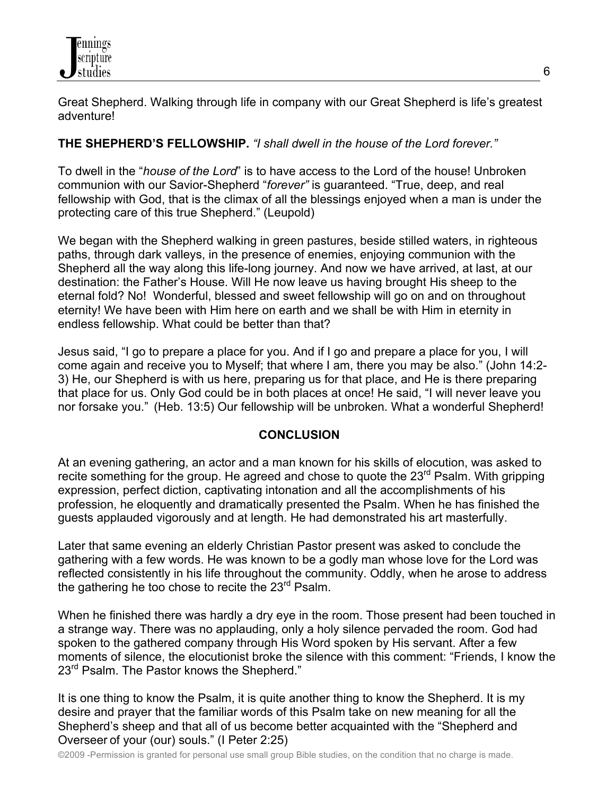

Great Shepherd. Walking through life in company with our Great Shepherd is life's greatest adventure!

### **THE SHEPHERD'S FELLOWSHIP.** *"I shall dwell in the house of the Lord forever."*

To dwell in the "*house of the Lord*" is to have access to the Lord of the house! Unbroken communion with our Savior-Shepherd "*forever"* is guaranteed. "True, deep, and real fellowship with God, that is the climax of all the blessings enjoyed when a man is under the protecting care of this true Shepherd." (Leupold)

We began with the Shepherd walking in green pastures, beside stilled waters, in righteous paths, through dark valleys, in the presence of enemies, enjoying communion with the Shepherd all the way along this life-long journey. And now we have arrived, at last, at our destination: the Father's House. Will He now leave us having brought His sheep to the eternal fold? No! Wonderful, blessed and sweet fellowship will go on and on throughout eternity! We have been with Him here on earth and we shall be with Him in eternity in endless fellowship. What could be better than that?

Jesus said, "I go to prepare a place for you. And if I go and prepare a place for you, I will come again and receive you to Myself; that where I am, there you may be also." (John 14:2- 3) He, our Shepherd is with us here, preparing us for that place, and He is there preparing that place for us. Only God could be in both places at once! He said, "I will never leave you nor forsake you." (Heb. 13:5) Our fellowship will be unbroken. What a wonderful Shepherd!

#### **CONCLUSION**

At an evening gathering, an actor and a man known for his skills of elocution, was asked to recite something for the group. He agreed and chose to quote the 23<sup>rd</sup> Psalm. With gripping expression, perfect diction, captivating intonation and all the accomplishments of his profession, he eloquently and dramatically presented the Psalm. When he has finished the guests applauded vigorously and at length. He had demonstrated his art masterfully.

Later that same evening an elderly Christian Pastor present was asked to conclude the gathering with a few words. He was known to be a godly man whose love for the Lord was reflected consistently in his life throughout the community. Oddly, when he arose to address the gathering he too chose to recite the  $23^{\text{rd}}$  Psalm.

When he finished there was hardly a dry eye in the room. Those present had been touched in a strange way. There was no applauding, only a holy silence pervaded the room. God had spoken to the gathered company through His Word spoken by His servant. After a few moments of silence, the elocutionist broke the silence with this comment: "Friends, I know the 23<sup>rd</sup> Psalm. The Pastor knows the Shepherd."

It is one thing to know the Psalm, it is quite another thing to know the Shepherd. It is my desire and prayer that the familiar words of this Psalm take on new meaning for all the Shepherd's sheep and that all of us become better acquainted with the "Shepherd and Overseer of your (our) souls." (I Peter 2:25)